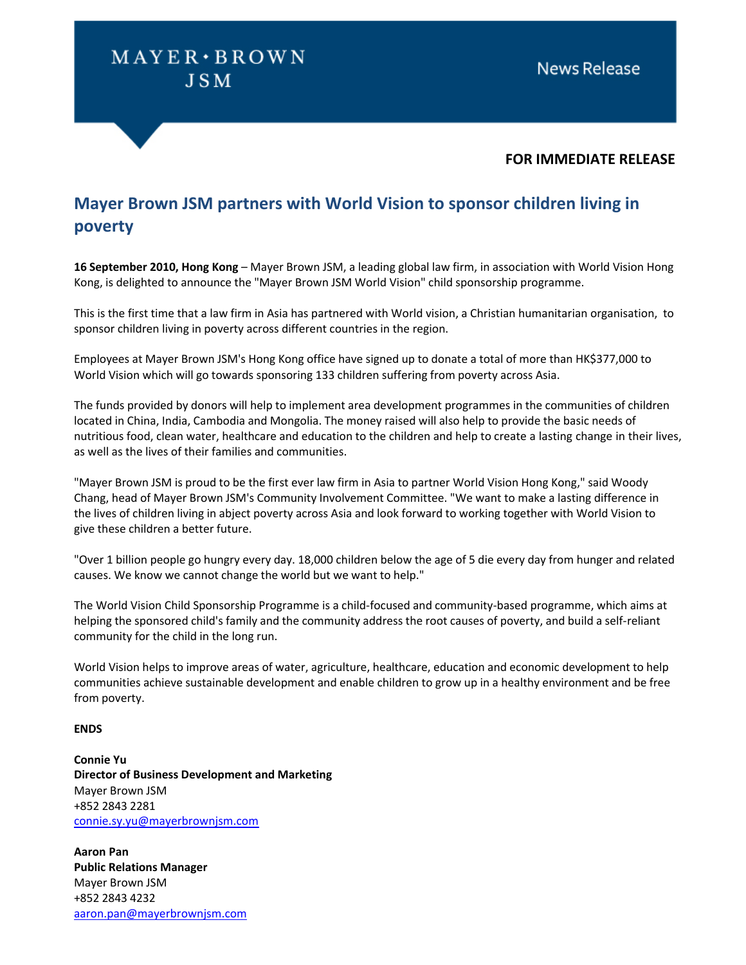## $MAYER \cdot BROWN$ **JSM**

### **FOR IMMEDIATE RELEASE**

### **Mayer Brown JSM partners with World Vision to sponsor children living in poverty**

**16 September 2010, Hong Kong** – Mayer Brown JSM, a leading global law firm, in association with World Vision Hong Kong, is delighted to announce the "Mayer Brown JSM World Vision" child sponsorship programme.

This is the first time that a law firm in Asia has partnered with World vision, a Christian humanitarian organisation, to sponsor children living in poverty across different countries in the region.

Employees at Mayer Brown JSM's Hong Kong office have signed up to donate a total of more than HK\$377,000 to World Vision which will go towards sponsoring 133 children suffering from poverty across Asia.

The funds provided by donors will help to implement area development programmes in the communities of children located in China, India, Cambodia and Mongolia. The money raised will also help to provide the basic needs of nutritious food, clean water, healthcare and education to the children and help to create a lasting change in their lives, as well as the lives of their families and communities.

"Mayer Brown JSM is proud to be the first ever law firm in Asia to partner World Vision Hong Kong," said Woody Chang, head of Mayer Brown JSM's Community Involvement Committee. "We want to make a lasting difference in the lives of children living in abject poverty across Asia and look forward to working together with World Vision to give these children a better future.

"Over 1 billion people go hungry every day. 18,000 children below the age of 5 die every day from hunger and related causes. We know we cannot change the world but we want to help."

The World Vision Child Sponsorship Programme is a child-focused and community-based programme, which aims at helping the sponsored child's family and the community address the root causes of poverty, and build a self-reliant community for the child in the long run.

World Vision helps to improve areas of water, agriculture, healthcare, education and economic development to help communities achieve sustainable development and enable children to grow up in a healthy environment and be free from poverty.

#### **ENDS**

**Connie Yu Director of Business Development and Marketing** Mayer Brown JSM +852 2843 2281 connie.sy.yu@mayerbrownjsm.com

**Aaron Pan Public Relations Manager** Mayer Brown JSM +852 2843 4232 aaron.pan@mayerbrownjsm.com